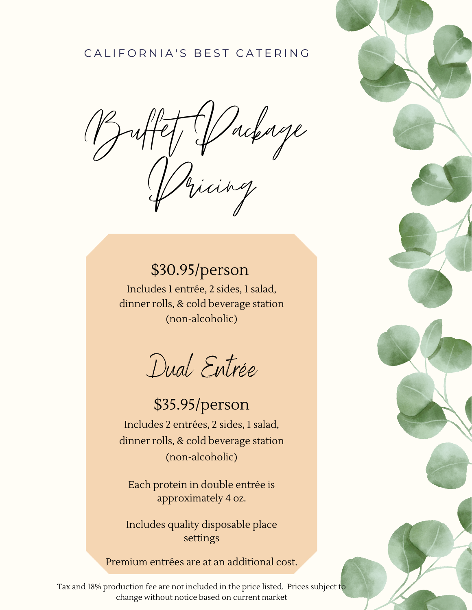### CAL I F O R N I A' S B F S T CAT F R I N G

Buffet Package Pricing

# \$30.95/person

Includes 1 entrée, 2 sides, 1 salad, dinner rolls, & cold beverage station (non-alcoholic)

Dual Entrée

# \$35.95/person

Includes 2 entrées, 2 sides, 1 salad, dinner rolls, & cold beverage station (non-alcoholic)

Each protein in double entrée is approximately 4 oz.

Includes quality disposable place settings

Premium entrées are at an additional cost.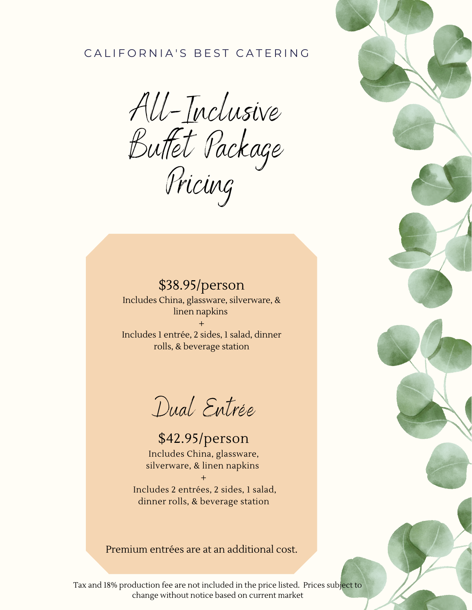#### CAL I F O R N I A' S B F S T CA T E R I N G

AU-Inclusive Buttet Package Pricing

\$38.95/person Includes China, glassware, silverware, & linen napkins + Includes 1 entrée, 2 sides, 1 salad, dinner rolls, & beverage station

Dual Entrée

\$42.95/person Includes China, glassware, silverware, & linen napkins

+ Includes 2 entrées, 2 sides, 1 salad, dinner rolls, & beverage station

Premium entrées are at an additional cost.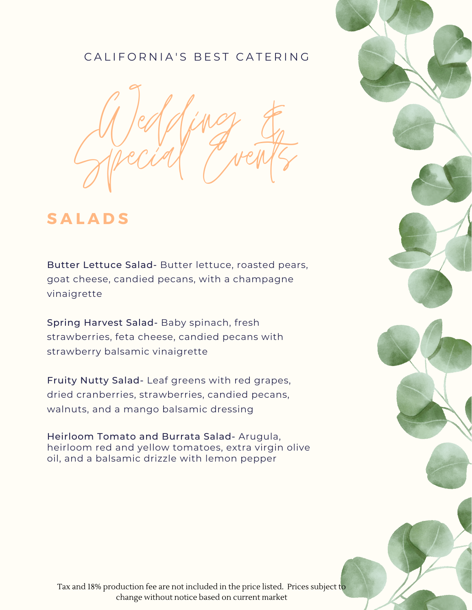

# **S A L A D S**

Butter Lettuce Salad- Butter lettuce, roasted pears, goat cheese, candied pecans, with a champagne vinaigrette

Spring Harvest Salad- Baby spinach, fresh strawberries, feta cheese, candied pecans with strawberry balsamic vinaigrette

Fruity Nutty Salad- Leaf greens with red grapes, dried cranberries, strawberries, candied pecans, walnuts, and a mango balsamic dressing

Heirloom Tomato and Burrata Salad- Arugula, heirloom red and yellow tomatoes, extra virgin olive oil, and a balsamic drizzle with lemon pepper

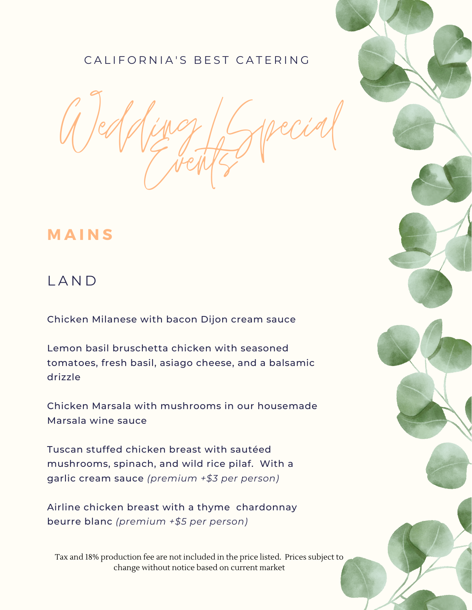Wedding/Special Events

### **M A I N S**

### L A N D

Chicken Milanese with bacon Dijon cream sauce

Lemon basil bruschetta chicken with seasoned tomatoes, fresh basil, asiago cheese, and a balsamic drizzle

Chicken Marsala with mushrooms in our housemade Marsala wine sauce

Tuscan stuffed chicken breast with sautéed mushrooms, spinach, and wild rice pilaf. With a garlic cream sauce *(premium +\$3 per person)*

Airline chicken breast with a thyme chardonnay beurre blanc *(premium +\$5 per person)*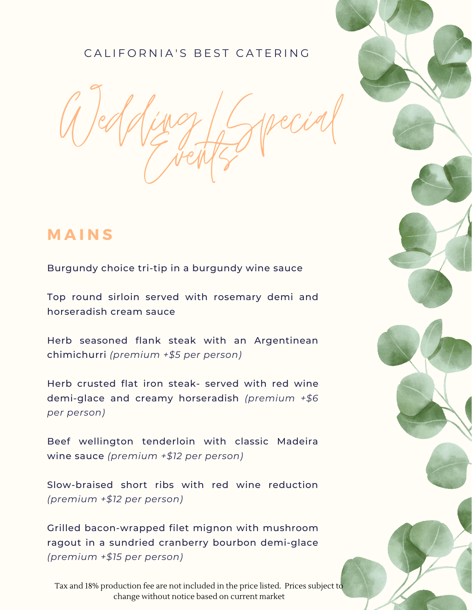Wedding/Special Events

## **M A I N S**

Burgundy choice tri-tip in a burgundy wine sauce

Top round sirloin served with rosemary demi and horseradish cream sauce

Herb seasoned flank steak with an Argentinean chimichurri *(premium +\$5 per person)*

Herb crusted flat iron steak- served with red wine demi-glace and creamy horseradish *(premium +\$6 per person)*

Beef wellington tenderloin with classic Madeira wine sauce *(premium +\$12 per person)*

Slow-braised short ribs with red wine reduction *(premium +\$12 per person)*

Grilled bacon-wrapped filet mignon with mushroom ragout in a sundried cranberry bourbon demi-glace *(premium +\$15 per person)*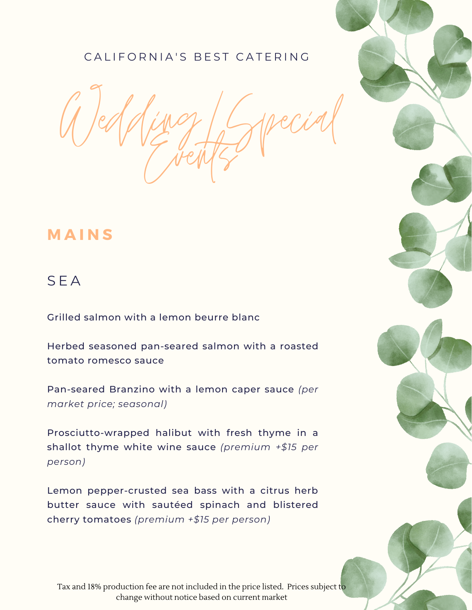Wedding/Special Events

# **M A I N S**

### S E A

Grilled salmon with a lemon beurre blanc

Herbed seasoned pan-seared salmon with a roasted tomato romesco sauce

Pan-seared Branzino with a lemon caper sauce *(per market price; seasonal)*

Prosciutto-wrapped halibut with fresh thyme in a shallot thyme white wine sauce *(premium +\$15 per person)*

Lemon pepper-crusted sea bass with a citrus herb butter sauce with sautéed spinach and blistered cherry tomatoes *(premium +\$15 per person)*